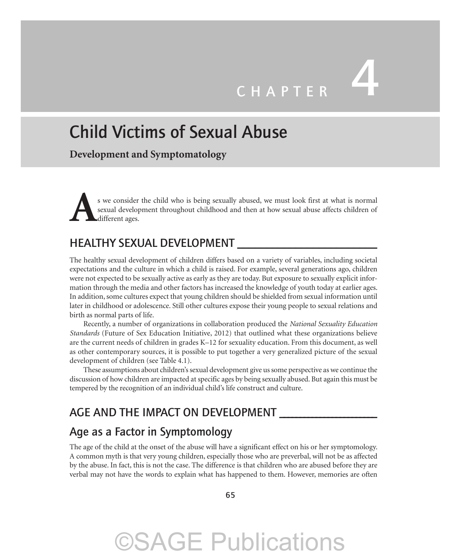# CHAPTER

# Child Victims of Sexual Abuse

 **Development and Symptomatology** 

 **A**s we consider the child who is being sexually abused, we must look first at what is normal sexual development throughout childhood and then at how sexual abuse affects children of different ages.

### HEALTHY SEXUAL DEVELOPMENT

 The healthy sexual development of children differs based on a variety of variables, including societal expectations and the culture in which a child is raised. For example, several generations ago, children were not expected to be sexually active as early as they are today. But exposure to sexually explicit information through the media and other factors has increased the knowledge of youth today at earlier ages. In addition, some cultures expect that young children should be shielded from sexual information until later in childhood or adolescence. Still other cultures expose their young people to sexual relations and birth as normal parts of life.

 Recently, a number of organizations in collaboration produced the *National Sexuality Education Standards* (Future of Sex Education Initiative, 2012) that outlined what these organizations believe are the current needs of children in grades K–12 for sexuality education. From this document, as well as other contemporary sources, it is possible to put together a very generalized picture of the sexual development of children (see Table 4.1).

 These assumptions about children's sexual development give us some perspective as we continue the discussion of how children are impacted at specific ages by being sexually abused. But again this must be tempered by the recognition of an individual child's life construct and culture.

### AGE AND THE IMPACT ON DEVELOPMENT

### Age as a Factor in Symptomology

 The age of the child at the onset of the abuse will have a significant effect on his or her symptomology. A common myth is that very young children, especially those who are preverbal, will not be as affected by the abuse. In fact, this is not the case. The difference is that children who are abused before they are verbal may not have the words to explain what has happened to them. However, memories are often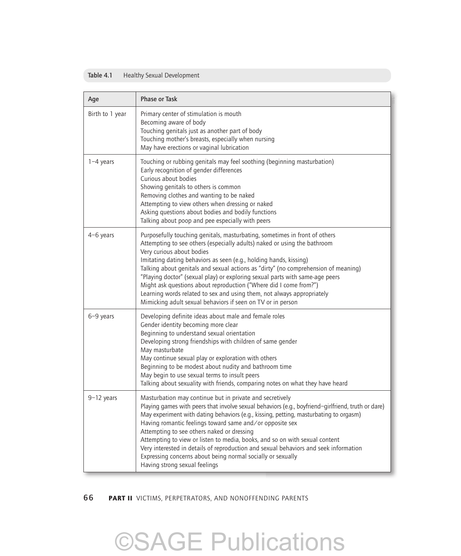#### Table 4.1 Healthy Sexual Development

| Age             | <b>Phase or Task</b>                                                                                                                                                                                                                                                                                                                                                                                                                                                                                                                                                                                                                         |
|-----------------|----------------------------------------------------------------------------------------------------------------------------------------------------------------------------------------------------------------------------------------------------------------------------------------------------------------------------------------------------------------------------------------------------------------------------------------------------------------------------------------------------------------------------------------------------------------------------------------------------------------------------------------------|
| Birth to 1 year | Primary center of stimulation is mouth<br>Becoming aware of body<br>Touching genitals just as another part of body<br>Touching mother's breasts, especially when nursing<br>May have erections or vaginal lubrication                                                                                                                                                                                                                                                                                                                                                                                                                        |
| $1-4$ years     | Touching or rubbing genitals may feel soothing (beginning masturbation)<br>Early recognition of gender differences<br>Curious about bodies<br>Showing genitals to others is common<br>Removing clothes and wanting to be naked<br>Attempting to view others when dressing or naked<br>Asking questions about bodies and bodily functions<br>Talking about poop and pee especially with peers                                                                                                                                                                                                                                                 |
| $4-6$ years     | Purposefully touching genitals, masturbating, sometimes in front of others<br>Attempting to see others (especially adults) naked or using the bathroom<br>Very curious about bodies<br>Imitating dating behaviors as seen (e.g., holding hands, kissing)<br>Talking about genitals and sexual actions as "dirty" (no comprehension of meaning)<br>"Playing doctor" (sexual play) or exploring sexual parts with same-age peers<br>Might ask questions about reproduction ("Where did I come from?")<br>Learning words related to sex and using them, not always appropriately<br>Mimicking adult sexual behaviors if seen on TV or in person |
| $6-9$ years     | Developing definite ideas about male and female roles<br>Gender identity becoming more clear<br>Beginning to understand sexual orientation<br>Developing strong friendships with children of same gender<br>May masturbate<br>May continue sexual play or exploration with others<br>Beginning to be modest about nudity and bathroom time<br>May begin to use sexual terms to insult peers<br>Talking about sexuality with friends, comparing notes on what they have heard                                                                                                                                                                 |
| $9-12$ years    | Masturbation may continue but in private and secretively<br>Playing games with peers that involve sexual behaviors (e.g., boyfriend-girlfriend, truth or dare)<br>May experiment with dating behaviors (e.g., kissing, petting, masturbating to orgasm)<br>Having romantic feelings toward same and/or opposite sex<br>Attempting to see others naked or dressing<br>Attempting to view or listen to media, books, and so on with sexual content<br>Very interested in details of reproduction and sexual behaviors and seek information<br>Expressing concerns about being normal socially or sexually<br>Having strong sexual feelings     |

#### 66 PART II VICTIMS, PERPETRATORS, AND NONOFFENDING PARENTS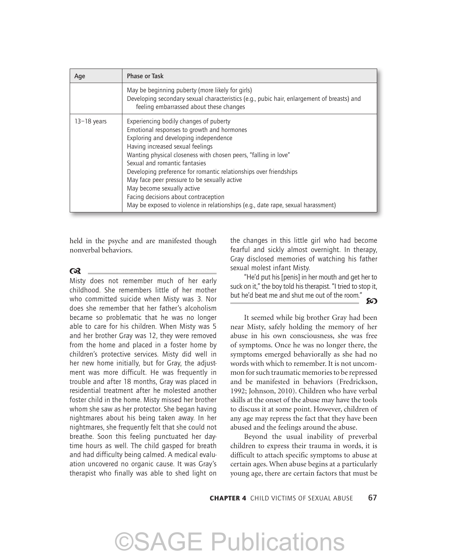| Age           | Phase or Task                                                                                                                                                                                                                                                                                                                                                                                                                                                                                                                                        |
|---------------|------------------------------------------------------------------------------------------------------------------------------------------------------------------------------------------------------------------------------------------------------------------------------------------------------------------------------------------------------------------------------------------------------------------------------------------------------------------------------------------------------------------------------------------------------|
|               | May be beginning puberty (more likely for girls)<br>Developing secondary sexual characteristics (e.g., pubic hair, enlargement of breasts) and<br>feeling embarrassed about these changes                                                                                                                                                                                                                                                                                                                                                            |
| $13-18$ years | Experiencing bodily changes of puberty<br>Emotional responses to growth and hormones<br>Exploring and developing independence<br>Having increased sexual feelings<br>Wanting physical closeness with chosen peers, "falling in love"<br>Sexual and romantic fantasies<br>Developing preference for romantic relationships over friendships<br>May face peer pressure to be sexually active<br>May become sexually active<br>Facing decisions about contraception<br>May be exposed to violence in relationships (e.g., date rape, sexual harassment) |

held in the psyche and are manifested though nonverbal behaviors.

#### $\boldsymbol{\alpha}$

 Misty does not remember much of her early childhood. She remembers little of her mother who committed suicide when Misty was 3. Nor does she remember that her father's alcoholism became so problematic that he was no longer able to care for his children. When Misty was 5 and her brother Gray was 12, they were removed from the home and placed in a foster home by children's protective services. Misty did well in her new home initially, but for Gray, the adjustment was more difficult. He was frequently in trouble and after 18 months, Gray was placed in residential treatment after he molested another foster child in the home. Misty missed her brother whom she saw as her protector. She began having nightmares about his being taken away. In her nightmares, she frequently felt that she could not breathe. Soon this feeling punctuated her daytime hours as well. The child gasped for breath and had difficulty being calmed. A medical evaluation uncovered no organic cause. It was Gray's therapist who finally was able to shed light on

the changes in this little girl who had become fearful and sickly almost overnight. In therapy, Gray disclosed memories of watching his father sexual molest infant Misty.

 "He'd put his [penis] in her mouth and get her to suck on it," the boy told his therapist. "I tried to stop it, but he'd beat me and shut me out of the room."

F

 It seemed while big brother Gray had been near Misty, safely holding the memory of her abuse in his own consciousness, she was free of symptoms. Once he was no longer there, the symptoms emerged behaviorally as she had no words with which to remember. It is not uncommon for such traumatic memories to be repressed and be manifested in behaviors (Fredrickson, 1992; Johnson, 2010). Children who have verbal skills at the onset of the abuse may have the tools to discuss it at some point. However, children of any age may repress the fact that they have been abused and the feelings around the abuse.

 Beyond the usual inability of preverbal children to express their trauma in words, it is difficult to attach specific symptoms to abuse at certain ages. When abuse begins at a particularly young age, there are certain factors that must be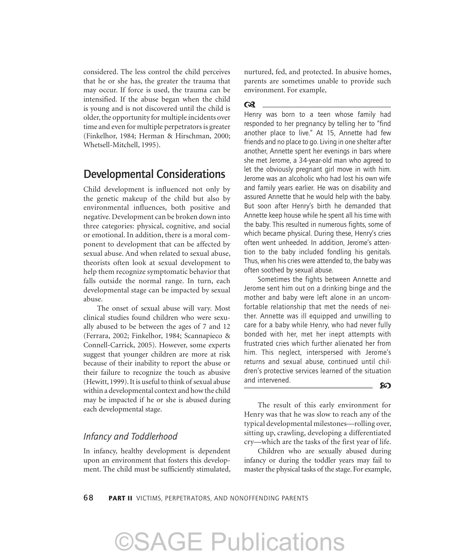considered. The less control the child perceives that he or she has, the greater the trauma that may occur. If force is used, the trauma can be intensified. If the abuse began when the child is young and is not discovered until the child is older, the opportunity for multiple incidents over time and even for multiple perpetrators is greater (Finkelhor, 1984; Herman & Hirschman, 2000; Whetsell-Mitchell, 1995).

### Developmental Considerations

 Child development is influenced not only by the genetic makeup of the child but also by environmental influences, both positive and negative. Development can be broken down into three categories: physical, cognitive, and social or emotional. In addition, there is a moral component to development that can be affected by sexual abuse. And when related to sexual abuse, theorists often look at sexual development to help them recognize symptomatic behavior that falls outside the normal range. In turn, each developmental stage can be impacted by sexual abuse.

 The onset of sexual abuse will vary. Most clinical studies found children who were sexually abused to be between the ages of 7 and 12 (Ferrara, 2002; Finkelhor, 1984; Scannapieco & Connell-Carrick, 2005). However, some experts suggest that younger children are more at risk because of their inability to report the abuse or their failure to recognize the touch as abusive (Hewitt, 1999). It is useful to think of sexual abuse within a developmental context and how the child may be impacted if he or she is abused during each developmental stage.

#### *Infancy and Toddlerhood*

 In infancy, healthy development is dependent upon an environment that fosters this development. The child must be sufficiently stimulated, nurtured, fed, and protected. In abusive homes, parents are sometimes unable to provide such environment. For example,

#### $\alpha$

 Henry was born to a teen whose family had responded to her pregnancy by telling her to "find another place to live." At 15, Annette had few friends and no place to go. Living in one shelter after another, Annette spent her evenings in bars where she met Jerome, a 34-year-old man who agreed to let the obviously pregnant girl move in with him. Jerome was an alcoholic who had lost his own wife and family years earlier. He was on disability and assured Annette that he would help with the baby. But soon after Henry's birth he demanded that Annette keep house while he spent all his time with the baby. This resulted in numerous fights, some of which became physical. During these, Henry's cries often went unheeded. In addition, Jerome's attention to the baby included fondling his genitals. Thus, when his cries were attended to, the baby was often soothed by sexual abuse.

 Sometimes the fights between Annette and Jerome sent him out on a drinking binge and the mother and baby were left alone in an uncomfortable relationship that met the needs of neither. Annette was ill equipped and unwilling to care for a baby while Henry, who had never fully bonded with her, met her inept attempts with frustrated cries which further alienated her from him. This neglect, interspersed with Jerome's returns and sexual abuse, continued until children's protective services learned of the situation and intervened. F

 The result of this early environment for Henry was that he was slow to reach any of the typical developmental milestones—rolling over, sitting up, crawling, developing a differentiated cry—which are the tasks of the first year of life.

 Children who are sexually abused during infancy or during the toddler years may fail to master the physical tasks of the stage. For example,

#### **68 PART II** VICTIMS, PERPETRATORS, AND NONOFFENDING PARENTS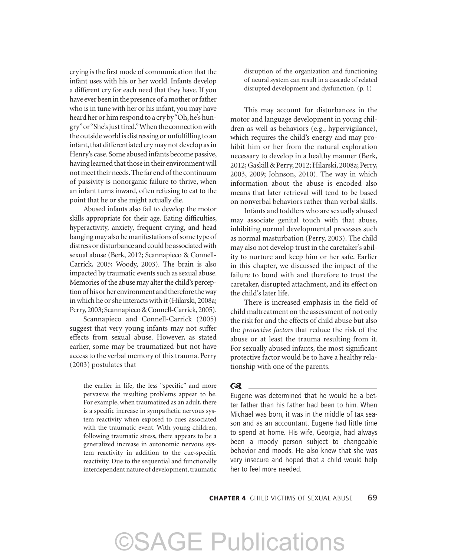crying is the first mode of communication that the infant uses with his or her world. Infants develop a different cry for each need that they have. If you have ever been in the presence of a mother or father who is in tune with her or his infant, you may have heard her or him respond to a cry by "Oh, he's hungry" or "She's just tired." When the connection with the outside world is distressing or unfulfilling to an infant, that differentiated cry may not develop as in Henry's case. Some abused infants become passive, having learned that those in their environment will not meet their needs. The far end of the continuum of passivity is nonorganic failure to thrive, when an infant turns inward, often refusing to eat to the point that he or she might actually die.

 Abused infants also fail to develop the motor skills appropriate for their age. Eating difficulties, hyperactivity, anxiety, frequent crying, and head banging may also be manifestations of some type of distress or disturbance and could be associated with sexual abuse (Berk, 2012; Scannapieco & Connell-Carrick, 2005; Woody, 2003). The brain is also impacted by traumatic events such as sexual abuse. Memories of the abuse may alter the child's perception of his or her environment and therefore the way in which he or she interacts with it (Hilarski, 2008a; Perry, 2003; Scannapieco & Connell-Carrick, 2005).

 Scannapieco and Connell-Carrick (2005) suggest that very young infants may not suffer effects from sexual abuse. However, as stated earlier, some may be traumatized but not have access to the verbal memory of this trauma. Perry (2003) postulates that

 the earlier in life, the less "specific" and more pervasive the resulting problems appear to be. For example, when traumatized as an adult, there is a specific increase in sympathetic nervous system reactivity when exposed to cues associated with the traumatic event. With young children, following traumatic stress, there appears to be a generalized increase in autonomic nervous system reactivity in addition to the cue-specific reactivity. Due to the sequential and functionally interdependent nature of development, traumatic

disruption of the organization and functioning of neural system can result in a cascade of related disrupted development and dysfunction. (p. 1)

 This may account for disturbances in the motor and language development in young children as well as behaviors (e.g., hypervigilance), which requires the child's energy and may prohibit him or her from the natural exploration necessary to develop in a healthy manner (Berk, 2012; Gaskill & Perry, 2012; Hilarski, 2008a; Perry, 2003, 2009; Johnson, 2010). The way in which information about the abuse is encoded also means that later retrieval will tend to be based on nonverbal behaviors rather than verbal skills.

 Infants and toddlers who are sexually abused may associate genital touch with that abuse, inhibiting normal developmental processes such as normal masturbation (Perry, 2003). The child may also not develop trust in the caretaker's ability to nurture and keep him or her safe. Earlier in this chapter, we discussed the impact of the failure to bond with and therefore to trust the caretaker, disrupted attachment, and its effect on the child's later life.

 There is increased emphasis in the field of child maltreatment on the assessment of not only the risk for and the effects of child abuse but also the *protective factors* that reduce the risk of the abuse or at least the trauma resulting from it. For sexually abused infants, the most significant protective factor would be to have a healthy relationship with one of the parents.

#### $\boldsymbol{\alpha}$

 Eugene was determined that he would be a better father than his father had been to him. When Michael was born, it was in the middle of tax season and as an accountant, Eugene had little time to spend at home. His wife, Georgia, had always been a moody person subject to changeable behavior and moods. He also knew that she was very insecure and hoped that a child would help her to feel more needed.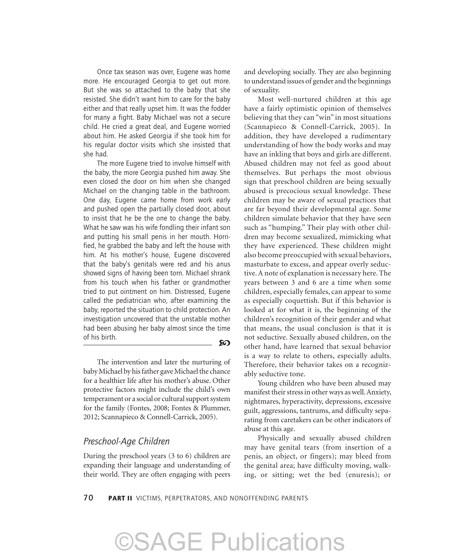Once tax season was over, Eugene was home more. He encouraged Georgia to get out more. But she was so attached to the baby that she resisted. She didn't want him to care for the baby either and that really upset him. It was the fodder for many a fight. Baby Michael was not a secure child. He cried a great deal, and Eugene worried about him. He asked Georgia if she took him for his regular doctor visits which she insisted that she had.

 The more Eugene tried to involve himself with the baby, the more Georgia pushed him away. She even closed the door on him when she changed Michael on the changing table in the bathroom. One day, Eugene came home from work early and pushed open the partially closed door, about to insist that he be the one to change the baby. What he saw was his wife fondling their infant son and putting his small penis in her mouth. Horrified, he grabbed the baby and left the house with him. At his mother's house, Eugene discovered that the baby's genitals were red and his anus showed signs of having been torn. Michael shrank from his touch when his father or grandmother tried to put ointment on him. Distressed, Eugene called the pediatrician who, after examining the baby, reported the situation to child protection. An investigation uncovered that the unstable mother had been abusing her baby almost since the time of his birth. F

 The intervention and later the nurturing of baby Michael by his father gave Michael the chance for a healthier life after his mother's abuse. Other protective factors might include the child's own temperament or a social or cultural support system for the family (Fontes, 2008; Fontes & Plummer, 2012; Scannapieco & Connell-Carrick, 2005).

#### *Preschool-Age Children*

 During the preschool years (3 to 6) children are expanding their language and understanding of their world. They are often engaging with peers

and developing socially. They are also beginning to understand issues of gender and the beginnings of sexuality.

 Most well-nurtured children at this age have a fairly optimistic opinion of themselves believing that they can "win" in most situations (Scannapieco & Connell-Carrick, 2005). In addition, they have developed a rudimentary understanding of how the body works and may have an inkling that boys and girls are different. Abused children may not feel as good about themselves. But perhaps the most obvious sign that preschool children are being sexually abused is precocious sexual knowledge. These children may be aware of sexual practices that are far beyond their developmental age. Some children simulate behavior that they have seen such as "humping." Their play with other children may become sexualized, mimicking what they have experienced. These children might also become preoccupied with sexual behaviors, masturbate to excess, and appear overly seductive. A note of explanation is necessary here. The years between 3 and 6 are a time when some children, especially females, can appear to some as especially coquettish. But if this behavior is looked at for what it is, the beginning of the children's recognition of their gender and what that means, the usual conclusion is that it is not seductive. Sexually abused children, on the other hand, have learned that sexual behavior is a way to relate to others, especially adults. Therefore, their behavior takes on a recognizably seductive tone.

 Young children who have been abused may manifest their stress in other ways as well. Anxiety, nightmares, hyperactivity, depressions, excessive guilt, aggressions, tantrums, and difficulty separating from caretakers can be other indicators of abuse at this age.

 Physically and sexually abused children may have genital tears (from insertion of a penis, an object, or fingers); may bleed from the genital area; have difficulty moving, walking, or sitting; wet the bed (enuresis); or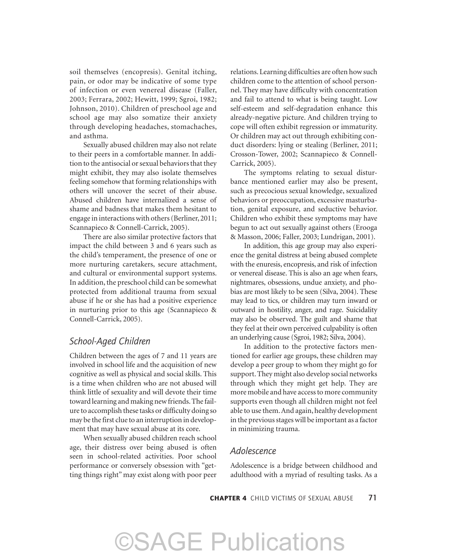soil themselves (encopresis). Genital itching, pain, or odor may be indicative of some type of infection or even venereal disease (Faller, 2003; Ferrara, 2002; Hewitt, 1999; Sgroi, 1982; Johnson, 2010). Children of preschool age and school age may also somatize their anxiety through developing headaches, stomachaches, and asthma.

 Sexually abused children may also not relate to their peers in a comfortable manner. In addition to the antisocial or sexual behaviors that they might exhibit, they may also isolate themselves feeling somehow that forming relationships with others will uncover the secret of their abuse. Abused children have internalized a sense of shame and badness that makes them hesitant to engage in interactions with others (Berliner, 2011; Scannapieco & Connell-Carrick, 2005).

 There are also similar protective factors that impact the child between 3 and 6 years such as the child's temperament, the presence of one or more nurturing caretakers, secure attachment, and cultural or environmental support systems. In addition, the preschool child can be somewhat protected from additional trauma from sexual abuse if he or she has had a positive experience in nurturing prior to this age (Scannapieco & Connell-Carrick, 2005).

#### *School-Aged Children*

 Children between the ages of 7 and 11 years are involved in school life and the acquisition of new cognitive as well as physical and social skills. This is a time when children who are not abused will think little of sexuality and will devote their time toward learning and making new friends. The failure to accomplish these tasks or difficulty doing so may be the first clue to an interruption in development that may have sexual abuse at its core.

 When sexually abused children reach school age, their distress over being abused is often seen in school-related activities. Poor school performance or conversely obsession with "getting things right" may exist along with poor peer

relations. Learning difficulties are often how such children come to the attention of school personnel. They may have difficulty with concentration and fail to attend to what is being taught. Low self-esteem and self-degradation enhance this already-negative picture. And children trying to cope will often exhibit regression or immaturity. Or children may act out through exhibiting conduct disorders: lying or stealing (Berliner, 2011; Crosson-Tower, 2002; Scannapieco & Connell-Carrick, 2005).

 The symptoms relating to sexual disturbance mentioned earlier may also be present, such as precocious sexual knowledge, sexualized behaviors or preoccupation, excessive masturbation, genital exposure, and seductive behavior. Children who exhibit these symptoms may have begun to act out sexually against others (Erooga & Masson, 2006; Faller, 2003; Lundrigan, 2001).

 In addition, this age group may also experience the genital distress at being abused complete with the enuresis, encopresis, and risk of infection or venereal disease. This is also an age when fears, nightmares, obsessions, undue anxiety, and phobias are most likely to be seen (Silva, 2004). These may lead to tics, or children may turn inward or outward in hostility, anger, and rage. Suicidality may also be observed. The guilt and shame that they feel at their own perceived culpability is often an underlying cause (Sgroi, 1982; Silva, 2004).

 In addition to the protective factors mentioned for earlier age groups, these children may develop a peer group to whom they might go for support. They might also develop social networks through which they might get help. They are more mobile and have access to more community supports even though all children might not feel able to use them. And again, healthy development in the previous stages will be important as a factor in minimizing trauma.

#### *Adolescence*

 Adolescence is a bridge between childhood and adulthood with a myriad of resulting tasks. As a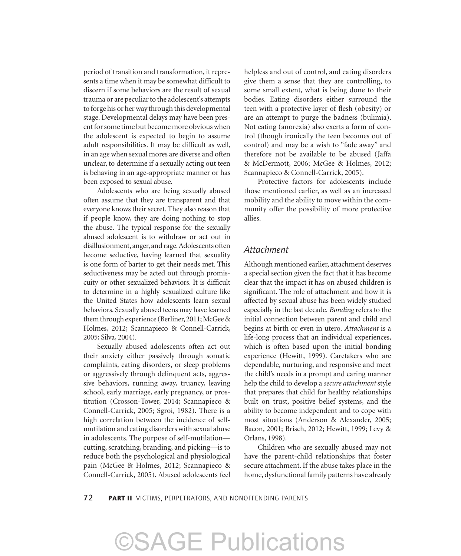period of transition and transformation, it represents a time when it may be somewhat difficult to discern if some behaviors are the result of sexual trauma or are peculiar to the adolescent's attempts to forge his or her way through this developmental stage. Developmental delays may have been present for some time but become more obvious when the adolescent is expected to begin to assume adult responsibilities. It may be difficult as well, in an age when sexual mores are diverse and often unclear, to determine if a sexually acting out teen is behaving in an age-appropriate manner or has been exposed to sexual abuse.

 Adolescents who are being sexually abused often assume that they are transparent and that everyone knows their secret. They also reason that if people know, they are doing nothing to stop the abuse. The typical response for the sexually abused adolescent is to withdraw or act out in disillusionment, anger, and rage. Adolescents often become seductive, having learned that sexuality is one form of barter to get their needs met. This seductiveness may be acted out through promiscuity or other sexualized behaviors. It is difficult to determine in a highly sexualized culture like the United States how adolescents learn sexual behaviors. Sexually abused teens may have learned them through experience (Berliner, 2011; McGee & Holmes, 2012; Scannapieco & Connell-Carrick, 2005; Silva, 2004).

 Sexually abused adolescents often act out their anxiety either passively through somatic complaints, eating disorders, or sleep problems or aggressively through delinquent acts, aggressive behaviors, running away, truancy, leaving school, early marriage, early pregnancy, or prostitution (Crosson-Tower, 2014; Scannapieco & Connell-Carrick, 2005; Sgroi, 1982). There is a high correlation between the incidence of selfmutilation and eating disorders with sexual abuse in adolescents. The purpose of self-mutilation cutting, scratching, branding, and picking—is to reduce both the psychological and physiological pain (McGee & Holmes, 2012; Scannapieco & Connell-Carrick, 2005). Abused adolescents feel

helpless and out of control, and eating disorders give them a sense that they are controlling, to some small extent, what is being done to their bodies. Eating disorders either surround the teen with a protective layer of flesh (obesity) or are an attempt to purge the badness (bulimia). Not eating (anorexia) also exerts a form of control (though ironically the teen becomes out of control) and may be a wish to "fade away" and therefore not be available to be abused (Jaffa & McDermott, 2006; McGee & Holmes, 2012; Scannapieco & Connell-Carrick, 2005).

 Protective factors for adolescents include those mentioned earlier, as well as an increased mobility and the ability to move within the community offer the possibility of more protective allies.

#### *Attachment*

 Although mentioned earlier, attachment deserves a special section given the fact that it has become clear that the impact it has on abused children is significant. The role of attachment and how it is affected by sexual abuse has been widely studied especially in the last decade. *Bonding* refers to the initial connection between parent and child and begins at birth or even in utero. *Attachment* is a life-long process that an individual experiences, which is often based upon the initial bonding experience (Hewitt, 1999). Caretakers who are dependable, nurturing, and responsive and meet the child's needs in a prompt and caring manner help the child to develop a *secure attachment* style that prepares that child for healthy relationships built on trust, positive belief systems, and the ability to become independent and to cope with most situations (Anderson & Alexander, 2005; Bacon, 2001; Brisch, 2012; Hewitt, 1999; Levy & Orlans, 1998).

 Children who are sexually abused may not have the parent-child relationships that foster secure attachment. If the abuse takes place in the home, dysfunctional family patterns have already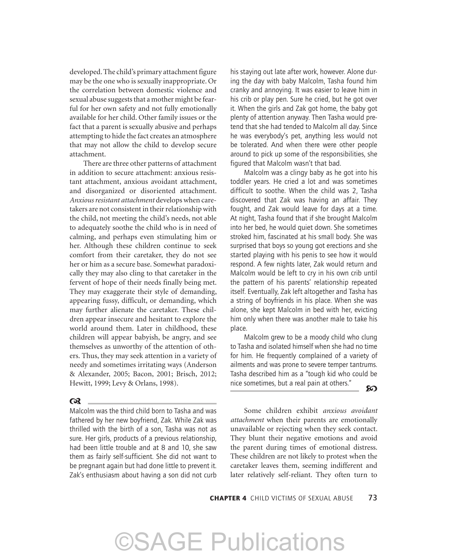developed. The child's primary attachment figure may be the one who is sexually inappropriate. Or the correlation between domestic violence and sexual abuse suggests that a mother might be fearful for her own safety and not fully emotionally available for her child. Other family issues or the fact that a parent is sexually abusive and perhaps attempting to hide the fact creates an atmosphere that may not allow the child to develop secure attachment.

 There are three other patterns of attachment in addition to secure attachment: anxious resistant attachment, anxious avoidant attachment, and disorganized or disoriented attachment. *Anxious resistant attachment* develops when caretakers are not consistent in their relationship with the child, not meeting the child's needs, not able to adequately soothe the child who is in need of calming, and perhaps even stimulating him or her. Although these children continue to seek comfort from their caretaker, they do not see her or him as a secure base. Somewhat paradoxically they may also cling to that caretaker in the fervent of hope of their needs finally being met. They may exaggerate their style of demanding, appearing fussy, difficult, or demanding, which may further alienate the caretaker. These children appear insecure and hesitant to explore the world around them. Later in childhood, these children will appear babyish, be angry, and see themselves as unworthy of the attention of others. Thus, they may seek attention in a variety of needy and sometimes irritating ways (Anderson & Alexander, 2005; Bacon, 2001; Brisch, 2012; Hewitt, 1999; Levy & Orlans, 1998).

#### $\alpha$

 Malcolm was the third child born to Tasha and was fathered by her new boyfriend, Zak. While Zak was thrilled with the birth of a son, Tasha was not as sure. Her girls, products of a previous relationship, had been little trouble and at 8 and 10, she saw them as fairly self-sufficient. She did not want to be pregnant again but had done little to prevent it. Zak's enthusiasm about having a son did not curb

his staying out late after work, however. Alone during the day with baby Malcolm, Tasha found him cranky and annoying. It was easier to leave him in his crib or play pen. Sure he cried, but he got over it. When the girls and Zak got home, the baby got plenty of attention anyway. Then Tasha would pretend that she had tended to Malcolm all day. Since he was everybody's pet, anything less would not be tolerated. And when there were other people around to pick up some of the responsibilities, she figured that Malcolm wasn't that bad.

 Malcolm was a clingy baby as he got into his toddler years. He cried a lot and was sometimes difficult to soothe. When the child was 2, Tasha discovered that Zak was having an affair. They fought, and Zak would leave for days at a time. At night, Tasha found that if she brought Malcolm into her bed, he would quiet down. She sometimes stroked him, fascinated at his small body. She was surprised that boys so young got erections and she started playing with his penis to see how it would respond. A few nights later, Zak would return and Malcolm would be left to cry in his own crib until the pattern of his parents' relationship repeated itself. Eventually, Zak left altogether and Tasha has a string of boyfriends in his place. When she was alone, she kept Malcolm in bed with her, evicting him only when there was another male to take his place.

 Malcolm grew to be a moody child who clung to Tasha and isolated himself when she had no time for him. He frequently complained of a variety of ailments and was prone to severe temper tantrums. Tasha described him as a "tough kid who could be nice sometimes, but a real pain at others."

 $\infty$ 

 Some children exhibit *anxious avoidant attachment* when their parents are emotionally unavailable or rejecting when they seek contact. They blunt their negative emotions and avoid the parent during times of emotional distress. These children are not likely to protest when the caretaker leaves them, seeming indifferent and later relatively self-reliant. They often turn to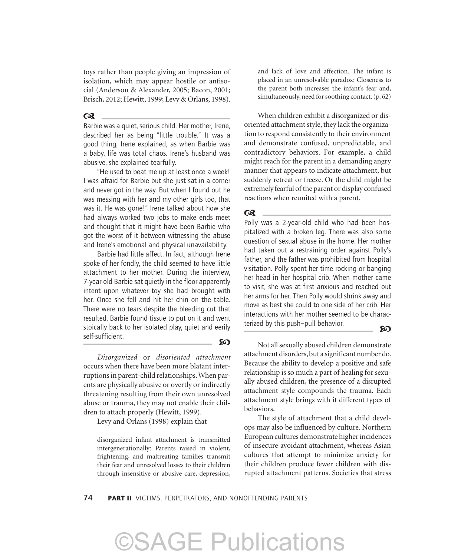toys rather than people giving an impression of isolation, which may appear hostile or antisocial (Anderson & Alexander, 2005; Bacon, 2001; Brisch, 2012; Hewitt, 1999; Levy & Orlans, 1998).

#### $\alpha$

 Barbie was a quiet, serious child. Her mother, Irene, described her as being "little trouble." It was a good thing, Irene explained, as when Barbie was a baby, life was total chaos. Irene's husband was abusive, she explained tearfully.

 "He used to beat me up at least once a week! I was afraid for Barbie but she just sat in a corner and never got in the way. But when I found out he was messing with her and my other girls too, that was it. He was gone!" Irene talked about how she had always worked two jobs to make ends meet and thought that it might have been Barbie who got the worst of it between witnessing the abuse and Irene's emotional and physical unavailability.

 Barbie had little affect. In fact, although Irene spoke of her fondly, the child seemed to have little attachment to her mother. During the interview, 7-year-old Barbie sat quietly in the floor apparently intent upon whatever toy she had brought with her. Once she fell and hit her chin on the table. There were no tears despite the bleeding cut that resulted. Barbie found tissue to put on it and went stoically back to her isolated play, quiet and eerily self-sufficient.  $\boldsymbol{\omega}$ 

*Disorganized* or *disoriented attachment* occurs when there have been more blatant interruptions in parent-child relationships. When parents are physically abusive or overtly or indirectly threatening resulting from their own unresolved abuse or trauma, they may not enable their children to attach properly (Hewitt, 1999).

Levy and Orlans (1998) explain that

 disorganized infant attachment is transmitted intergenerationally: Parents raised in violent, frightening, and maltreating families transmit their fear and unresolved losses to their children through insensitive or abusive care, depression,

and lack of love and affection. The infant is placed in an unresolvable paradox: Closeness to the parent both increases the infant's fear and, simultaneously, need for soothing contact. (p. 62)

 When children exhibit a disorganized or disoriented attachment style, they lack the organization to respond consistently to their environment and demonstrate confused, unpredictable, and contradictory behaviors. For example, a child might reach for the parent in a demanding angry manner that appears to indicate attachment, but suddenly retreat or freeze. Or the child might be extremely fearful of the parent or display confused reactions when reunited with a parent.

#### $\boldsymbol{\alpha}$

 Polly was a 2-year-old child who had been hospitalized with a broken leg. There was also some question of sexual abuse in the home. Her mother had taken out a restraining order against Polly's father, and the father was prohibited from hospital visitation. Polly spent her time rocking or banging her head in her hospital crib. When mother came to visit, she was at first anxious and reached out her arms for her. Then Polly would shrink away and move as best she could to one side of her crib. Her interactions with her mother seemed to be characterized by this push–pull behavior. F

 Not all sexually abused children demonstrate attachment disorders, but a significant number do. Because the ability to develop a positive and safe relationship is so much a part of healing for sexually abused children, the presence of a disrupted attachment style compounds the trauma. Each attachment style brings with it different types of behaviors.

 The style of attachment that a child develops may also be influenced by culture. Northern European cultures demonstrate higher incidences of insecure avoidant attachment, whereas Asian cultures that attempt to minimize anxiety for their children produce fewer children with disrupted attachment patterns. Societies that stress

#### 74 PART II VICTIMS, PERPETRATORS, AND NONOFFENDING PARENTS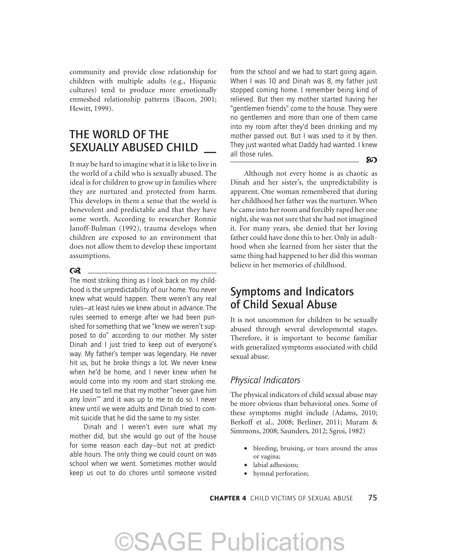community and provide close relationship for children with multiple adults (e.g., Hispanic cultures) tend to produce more emotionally enmeshed relationship patterns (Bacon, 2001; Hewitt, 1999).

### THE WORLD OF THE SEXUALLY ABUSED CHILD

 It may be hard to imagine what it is like to live in the world of a child who is sexually abused. The ideal is for children to grow up in families where they are nurtured and protected from harm. This develops in them a sense that the world is benevolent and predictable and that they have some worth. According to researcher Ronnie Janoff-Bulman (1992), trauma develops when children are exposed to an environment that does not allow them to develop these important assumptions.

#### $\alpha$

 The most striking thing as I look back on my childhood is the unpredictability of our home. You never knew what would happen. There weren't any real rules—at least rules we knew about in advance. The rules seemed to emerge after we had been punished for something that we "knew we weren't supposed to do" according to our mother. My sister Dinah and I just tried to keep out of everyone's way. My father's temper was legendary. He never hit us, but he broke things a lot. We never knew when he'd be home, and I never knew when he would come into my room and start stroking me. He used to tell me that my mother "never gave him any lovin'" and it was up to me to do so. I never knew until we were adults and Dinah tried to commit suicide that he did the same to my sister.

 Dinah and I weren't even sure what my mother did, but she would go out of the house for some reason each day—but not at predictable hours. The only thing we could count on was school when we went. Sometimes mother would keep us out to do chores until someone visited

from the school and we had to start going again. When I was 10 and Dinah was 8, my father just stopped coming home. I remember being kind of relieved. But then my mother started having her "gentlemen friends" come to the house. They were no gentlemen and more than one of them came into my room after they'd been drinking and my mother passed out. But I was used to it by then. They just wanted what Daddy had wanted. I knew all those rules. F

 Although not every home is as chaotic as Dinah and her sister's, the unpredictability is apparent. One woman remembered that during her childhood her father was the nurturer. When he came into her room and forcibly raped her one night, she was not sure that she had not imagined it. For many years, she denied that her loving father could have done this to her. Only in adulthood when she learned from her sister that the same thing had happened to her did this woman believe in her memories of childhood.

### Symptoms and Indicators of Child Sexual Abuse

 It is not uncommon for children to be sexually abused through several developmental stages. Therefore, it is important to become familiar with generalized symptoms associated with child sexual abuse.

#### *Physical Indicators*

 The physical indicators of child sexual abuse may be more obvious than behavioral ones. Some of these symptoms might include (Adams, 2010; Berkoff et al., 2008; Berliner, 2011; Muram & Simmons, 2008; Saunders, 2012; Sgroi, 1982)

- bleeding, bruising, or tears around the anus or vagina;
- labial adhesions;
- hymnal perforation;

#### **CHAPTER 4** CHILD VICTIMS OF SEXUAL ABUSE 75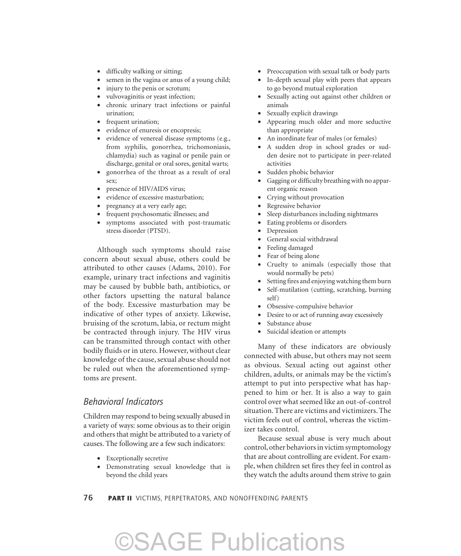- difficulty walking or sitting;
- semen in the vagina or anus of a young child;
- injury to the penis or scrotum;
- vulvovaginitis or yeast infection;
- chronic urinary tract infections or painful urination;
- frequent urination;
- evidence of enuresis or encopresis;
- evidence of venereal disease symptoms (e.g., from syphilis, gonorrhea, trichomoniasis, chlamydia) such as vaginal or penile pain or discharge, genital or oral sores, genital warts;
- gonorrhea of the throat as a result of oral sex;
- presence of HIV/AIDS virus;
- evidence of excessive masturbation;
- pregnancy at a very early age;
- frequent psychosomatic illnesses; and
- symptoms associated with post-traumatic stress disorder (PTSD).

 Although such symptoms should raise concern about sexual abuse, others could be attributed to other causes (Adams, 2010). For example, urinary tract infections and vaginitis may be caused by bubble bath, antibiotics, or other factors upsetting the natural balance of the body. Excessive masturbation may be indicative of other types of anxiety. Likewise, bruising of the scrotum, labia, or rectum might be contracted through injury. The HIV virus can be transmitted through contact with other bodily fluids or in utero. However, without clear knowledge of the cause, sexual abuse should not be ruled out when the aforementioned symptoms are present.

#### *Behavioral Indicators*

 Children may respond to being sexually abused in a variety of ways: some obvious as to their origin and others that might be attributed to a variety of causes. The following are a few such indicators:

- Exceptionally secretive
- Demonstrating sexual knowledge that is beyond the child years
- Preoccupation with sexual talk or body parts
- In-depth sexual play with peers that appears to go beyond mutual exploration
- Sexually acting out against other children or animals
- Sexually explicit drawings
- Appearing much older and more seductive than appropriate
- An inordinate fear of males (or females)
- A sudden drop in school grades or sudden desire not to participate in peer-related activities
- Sudden phobic behavior
- Gagging or difficulty breathing with no apparent organic reason
- Crying without provocation
- Regressive behavior
- Sleep disturbances including nightmares
- Eating problems or disorders
- **Depression**
- General social withdrawal
- Feeling damaged
- Fear of being alone
- Cruelty to animals (especially those that would normally be pets)
- Setting fires and enjoying watching them burn
- Self-mutilation (cutting, scratching, burning self)
- Obsessive-compulsive behavior
- Desire to or act of running away excessively
- Substance abuse
- Suicidal ideation or attempts

 Many of these indicators are obviously connected with abuse, but others may not seem as obvious. Sexual acting out against other children, adults, or animals may be the victim's attempt to put into perspective what has happened to him or her. It is also a way to gain control over what seemed like an out-of-control situation. There are victims and victimizers. The victim feels out of control, whereas the victimizer takes control.

 Because sexual abuse is very much about control, other behaviors in victim symptomology that are about controlling are evident. For example, when children set fires they feel in control as they watch the adults around them strive to gain

#### 76 PART II VICTIMS, PERPETRATORS, AND NONOFFENDING PARENTS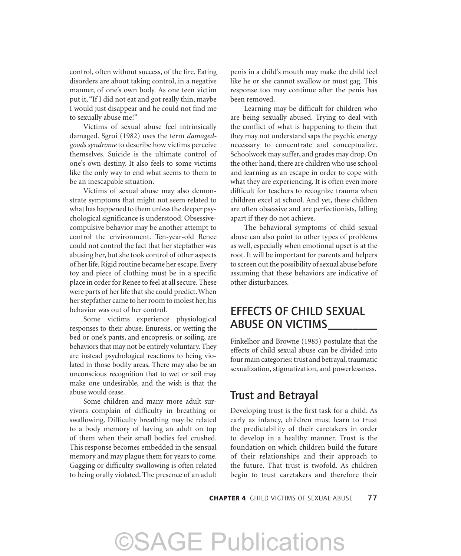control, often without success, of the fire. Eating disorders are about taking control, in a negative manner, of one's own body. As one teen victim put it, "If I did not eat and got really thin, maybe I would just disappear and he could not find me to sexually abuse me!"

 Victims of sexual abuse feel intrinsically damaged. Sgroi (1982) uses the term *damagedgoods syndrome* to describe how victims perceive themselves. Suicide is the ultimate control of one's own destiny. It also feels to some victims like the only way to end what seems to them to be an inescapable situation.

 Victims of sexual abuse may also demonstrate symptoms that might not seem related to what has happened to them unless the deeper psychological significance is understood. Obsessivecompulsive behavior may be another attempt to control the environment. Ten-year-old Renee could not control the fact that her stepfather was abusing her, but she took control of other aspects of her life. Rigid routine became her escape. Every toy and piece of clothing must be in a specific place in order for Renee to feel at all secure. These were parts of her life that she could predict. When her stepfather came to her room to molest her, his behavior was out of her control.

 Some victims experience physiological responses to their abuse. Enuresis, or wetting the bed or one's pants, and encopresis, or soiling, are behaviors that may not be entirely voluntary. They are instead psychological reactions to being violated in those bodily areas. There may also be an unconscious recognition that to wet or soil may make one undesirable, and the wish is that the abuse would cease.

 Some children and many more adult survivors complain of difficulty in breathing or swallowing. Difficulty breathing may be related to a body memory of having an adult on top of them when their small bodies feel crushed. This response becomes embedded in the sensual memory and may plague them for years to come. Gagging or difficulty swallowing is often related to being orally violated. The presence of an adult

penis in a child's mouth may make the child feel like he or she cannot swallow or must gag. This response too may continue after the penis has been removed.

 Learning may be difficult for children who are being sexually abused. Trying to deal with the conflict of what is happening to them that they may not understand saps the psychic energy necessary to concentrate and conceptualize. Schoolwork may suffer, and grades may drop. On the other hand, there are children who use school and learning as an escape in order to cope with what they are experiencing. It is often even more difficult for teachers to recognize trauma when children excel at school. And yet, these children are often obsessive and are perfectionists, falling apart if they do not achieve.

 The behavioral symptoms of child sexual abuse can also point to other types of problems as well, especially when emotional upset is at the root. It will be important for parents and helpers to screen out the possibility of sexual abuse before assuming that these behaviors are indicative of other disturbances.

### EFFECTS OF CHILD SEXUAL ABUSE ON VICTIMS\_\_\_\_\_\_\_\_

 Finkelhor and Browne (1985) postulate that the effects of child sexual abuse can be divided into four main categories: trust and betrayal, traumatic sexualization, stigmatization, and powerlessness.

### Trust and Betrayal

 Developing trust is the first task for a child. As early as infancy, children must learn to trust the predictability of their caretakers in order to develop in a healthy manner. Trust is the foundation on which children build the future of their relationships and their approach to the future. That trust is twofold. As children begin to trust caretakers and therefore their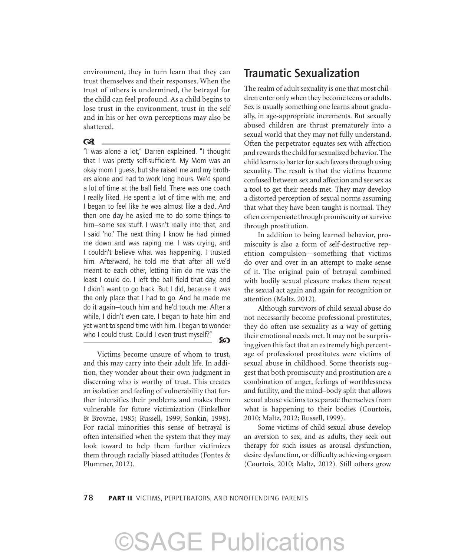environment, they in turn learn that they can trust themselves and their responses. When the trust of others is undermined, the betrayal for the child can feel profound. As a child begins to lose trust in the environment, trust in the self and in his or her own perceptions may also be shattered.

#### $\alpha$

 "I was alone a lot," Darren explained. "I thought that I was pretty self-sufficient. My Mom was an okay mom I guess, but she raised me and my brothers alone and had to work long hours. We'd spend a lot of time at the ball field. There was one coach I really liked. He spent a lot of time with me, and I began to feel like he was almost like a dad. And then one day he asked me to do some things to him—some sex stuff. I wasn't really into that, and I said 'no.' The next thing I know he had pinned me down and was raping me. I was crying, and I couldn't believe what was happening. I trusted him. Afterward, he told me that after all we'd meant to each other, letting him do me was the least I could do. I left the ball field that day, and I didn't want to go back. But I did, because it was the only place that I had to go. And he made me do it again—touch him and he'd touch me. After a while, I didn't even care. I began to hate him and yet want to spend time with him. I began to wonder who I could trust. Could I even trust myself?"  $\boldsymbol{\omega}$ 

 Victims become unsure of whom to trust, and this may carry into their adult life. In addition, they wonder about their own judgment in discerning who is worthy of trust. This creates an isolation and feeling of vulnerability that further intensifies their problems and makes them vulnerable for future victimization (Finkelhor & Browne, 1985; Russell, 1999; Sonkin, 1998). For racial minorities this sense of betrayal is often intensified when the system that they may look toward to help them further victimizes them through racially biased attitudes (Fontes & Plummer, 2012).

### Traumatic Sexualization

 The realm of adult sexuality is one that most children enter only when they become teens or adults. Sex is usually something one learns about gradually, in age-appropriate increments. But sexually abused children are thrust prematurely into a sexual world that they may not fully understand. Often the perpetrator equates sex with affection and rewards the child for sexualized behavior. The child learns to barter for such favors through using sexuality. The result is that the victims become confused between sex and affection and see sex as a tool to get their needs met. They may develop a distorted perception of sexual norms assuming that what they have been taught is normal. They often compensate through promiscuity or survive through prostitution.

 In addition to being learned behavior, promiscuity is also a form of self-destructive repetition compulsion—something that victims do over and over in an attempt to make sense of it. The original pain of betrayal combined with bodily sexual pleasure makes them repeat the sexual act again and again for recognition or attention (Maltz, 2012).

 Although survivors of child sexual abuse do not necessarily become professional prostitutes, they do often use sexuality as a way of getting their emotional needs met. It may not be surprising given this fact that an extremely high percentage of professional prostitutes were victims of sexual abuse in childhood. Some theorists suggest that both promiscuity and prostitution are a combination of anger, feelings of worthlessness and futility, and the mind–body split that allows sexual abuse victims to separate themselves from what is happening to their bodies (Courtois, 2010; Maltz, 2012; Russell, 1999).

 Some victims of child sexual abuse develop an aversion to sex, and as adults, they seek out therapy for such issues as arousal dysfunction, desire dysfunction, or difficulty achieving orgasm (Courtois, 2010; Maltz, 2012). Still others grow

#### 78 PART II VICTIMS, PERPETRATORS, AND NONOFFENDING PARENTS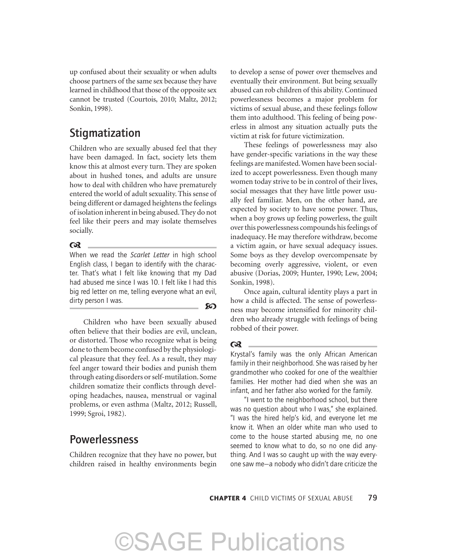up confused about their sexuality or when adults choose partners of the same sex because they have learned in childhood that those of the opposite sex cannot be trusted (Courtois, 2010; Maltz, 2012; Sonkin, 1998).

### **Stigmatization**

 Children who are sexually abused feel that they have been damaged. In fact, society lets them know this at almost every turn. They are spoken about in hushed tones, and adults are unsure how to deal with children who have prematurely entered the world of adult sexuality. This sense of being different or damaged heightens the feelings of isolation inherent in being abused. They do not feel like their peers and may isolate themselves socially.

#### $\alpha$

 When we read the *Scarlet Letter* in high school English class, I began to identify with the character. That's what I felt like knowing that my Dad had abused me since I was 10. I felt like I had this big red letter on me, telling everyone what an evil, dirty person I was.

F

 Children who have been sexually abused often believe that their bodies are evil, unclean, or distorted. Those who recognize what is being done to them become confused by the physiological pleasure that they feel. As a result, they may feel anger toward their bodies and punish them through eating disorders or self-mutilation. Some children somatize their conflicts through developing headaches, nausea, menstrual or vaginal problems, or even asthma (Maltz, 2012; Russell, 1999; Sgroi, 1982).

### Powerlessness

 Children recognize that they have no power, but children raised in healthy environments begin

to develop a sense of power over themselves and eventually their environment. But being sexually abused can rob children of this ability. Continued powerlessness becomes a major problem for victims of sexual abuse, and these feelings follow them into adulthood. This feeling of being powerless in almost any situation actually puts the victim at risk for future victimization.

 These feelings of powerlessness may also have gender-specific variations in the way these feelings are manifested. Women have been socialized to accept powerlessness. Even though many women today strive to be in control of their lives, social messages that they have little power usually feel familiar. Men, on the other hand, are expected by society to have some power. Thus, when a boy grows up feeling powerless, the guilt over this powerlessness compounds his feelings of inadequacy. He may therefore withdraw, become a victim again, or have sexual adequacy issues. Some boys as they develop overcompensate by becoming overly aggressive, violent, or even abusive (Dorias, 2009; Hunter, 1990; Lew, 2004; Sonkin, 1998).

 Once again, cultural identity plays a part in how a child is affected. The sense of powerlessness may become intensified for minority children who already struggle with feelings of being robbed of their power.

#### $\boldsymbol{\alpha}$

 Krystal's family was the only African American family in their neighborhood. She was raised by her grandmother who cooked for one of the wealthier families. Her mother had died when she was an infant, and her father also worked for the family.

 "I went to the neighborhood school, but there was no question about who I was," she explained. "I was the hired help's kid, and everyone let me know it. When an older white man who used to come to the house started abusing me, no one seemed to know what to do, so no one did anything. And I was so caught up with the way everyone saw me—a nobody who didn't dare criticize the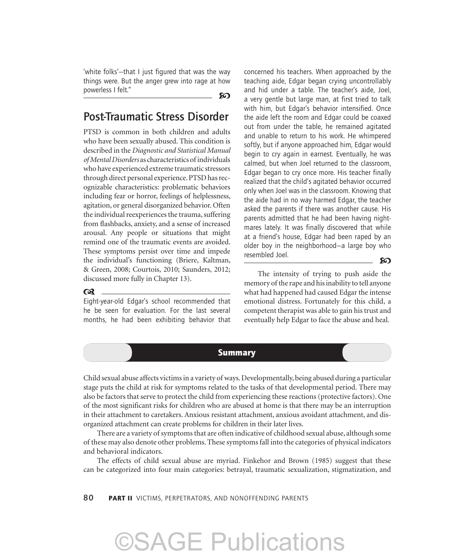'white folks'—that I just figured that was the way things were. But the anger grew into rage at how powerless I felt."  $\infty$ 

## Post-Traumatic Stress Disorder

 PTSD is common in both children and adults who have been sexually abused. This condition is described in the *Diagnostic and Statistical Manual of Mental Disorders* as characteristics of individuals who have experienced extreme traumatic stressors through direct personal experience. PTSD has recognizable characteristics: problematic behaviors including fear or horror, feelings of helplessness, agitation, or general disorganized behavior. Often the individual reexperiences the trauma, suffering from flashbacks, anxiety, and a sense of increased arousal. Any people or situations that might remind one of the traumatic events are avoided. These symptoms persist over time and impede the individual's functioning (Briere, Kaltman, & Green, 2008; Courtois, 2010; Saunders, 2012; discussed more fully in Chapter 13).

#### $\alpha$

 Eight-year-old Edgar's school recommended that he be seen for evaluation. For the last several months, he had been exhibiting behavior that

concerned his teachers. When approached by the teaching aide, Edgar began crying uncontrollably and hid under a table. The teacher's aide, Joel, a very gentle but large man, at first tried to talk with him, but Edgar's behavior intensified. Once the aide left the room and Edgar could be coaxed out from under the table, he remained agitated and unable to return to his work. He whimpered softly, but if anyone approached him, Edgar would begin to cry again in earnest. Eventually, he was calmed, but when Joel returned to the classroom, Edgar began to cry once more. His teacher finally realized that the child's agitated behavior occurred only when Joel was in the classroom. Knowing that the aide had in no way harmed Edgar, the teacher asked the parents if there was another cause. His parents admitted that he had been having nightmares lately. It was finally discovered that while at a friend's house, Edgar had been raped by an older boy in the neighborhood—a large boy who resembled Joel. F

 The intensity of trying to push aside the memory of the rape and his inability to tell anyone what had happened had caused Edgar the intense emotional distress. Fortunately for this child, a competent therapist was able to gain his trust and eventually help Edgar to face the abuse and heal.

#### Summary

 Child sexual abuse affects victims in a variety of ways. Developmentally, being abused during a particular stage puts the child at risk for symptoms related to the tasks of that developmental period. There may also be factors that serve to protect the child from experiencing these reactions (protective factors). One of the most significant risks for children who are abused at home is that there may be an interruption in their attachment to caretakers. Anxious resistant attachment, anxious avoidant attachment, and disorganized attachment can create problems for children in their later lives.

 There are a variety of symptoms that are often indicative of childhood sexual abuse, although some of these may also denote other problems. These symptoms fall into the categories of physical indicators and behavioral indicators.

 The effects of child sexual abuse are myriad. Finkehor and Brown (1985) suggest that these can be categorized into four main categories: betrayal, traumatic sexualization, stigmatization, and

80 PART II VICTIMS, PERPETRATORS, AND NONOFFENDING PARENTS